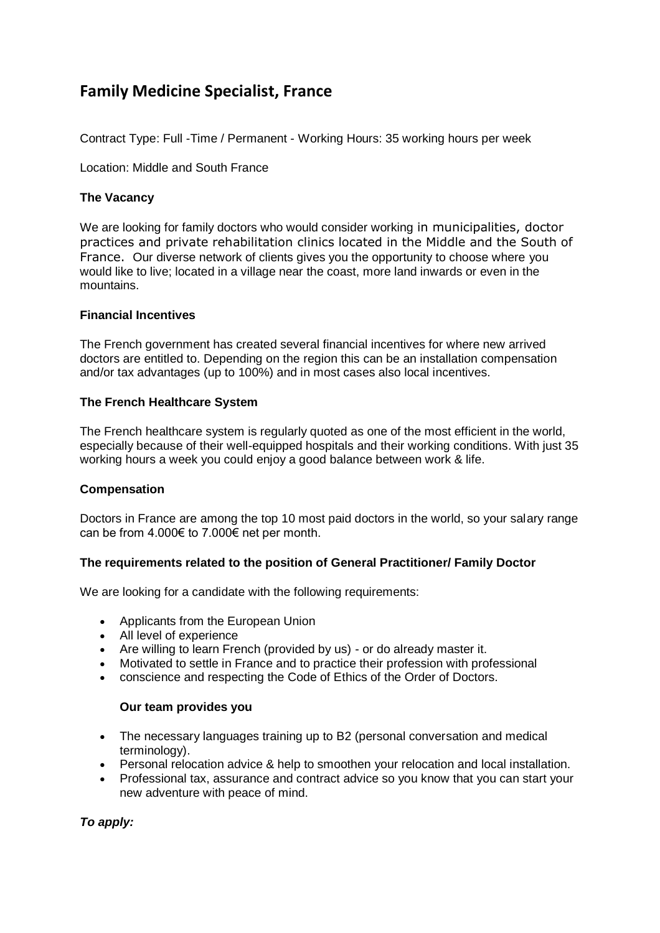# **Family Medicine Specialist, France**

Contract Type: Full -Time / Permanent - Working Hours: 35 working hours per week

Location: Middle and South France

## **The Vacancy**

We are looking for family doctors who would consider working in municipalities, doctor practices and private rehabilitation clinics located in the Middle and the South of France. Our diverse network of clients gives you the opportunity to choose where you would like to live; located in a village near the coast, more land inwards or even in the mountains.

## **Financial Incentives**

The French government has created several financial incentives for where new arrived doctors are entitled to. Depending on the region this can be an installation compensation and/or tax advantages (up to 100%) and in most cases also local incentives.

## **The French Healthcare System**

The French healthcare system is regularly quoted as one of the most efficient in the world, especially because of their well-equipped hospitals and their working conditions. With just 35 working hours a week you could enjoy a good balance between work & life.

## **Compensation**

Doctors in France are among the top 10 most paid doctors in the world, so your salary range can be from 4.000€ to 7.000€ net per month.

## **The requirements related to the position of General Practitioner/ Family Doctor**

We are looking for a candidate with the following requirements:

- Applicants from the European Union
- All level of experience
- Are willing to learn French (provided by us) or do already master it.
- Motivated to settle in France and to practice their profession with professional
- conscience and respecting the Code of Ethics of the Order of Doctors.

### **Our team provides you**

- The necessary languages training up to B2 (personal conversation and medical terminology).
- Personal relocation advice & help to smoothen your relocation and local installation.
- Professional tax, assurance and contract advice so you know that you can start your new adventure with peace of mind.

*To apply:*